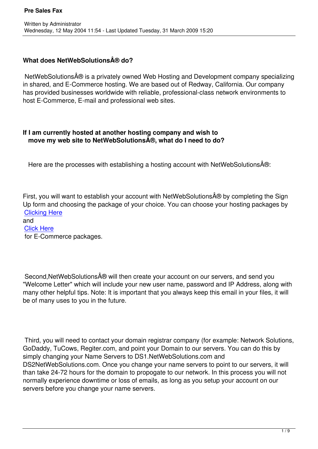# **What does NetWebSolutions ® do?**

NetWebSolutions® is a privately owned Web Hosting and Development company specializing in shared, and E-Commerce hosting. We are based out of Redway, California. Our company has provided businesses worldwide with reliable, professional-class network environments to host E-Commerce, E-mail and professional web sites.

# **If I am currently hosted at another hosting company and wish to move my web site to NetWebSolutions®, what do I need to do?**

Here are the processes with establishing a hosting account with NetWebSolutions®:

First, you will want to establish your account with NetWebSolutions $\hat{A} \oplus B$  by completing the Sign Up form and choosing the package of your choice. You can choose your hosting packages by Clicking Here

and Click Here  [for E-Comme](../hosting.php)rce packages.

Second, Net Web Solutions  $\hat{A} \oplus \hat{B}$  will then create your account on our servers, and send you "Welcome Letter" which will include your new user name, password and IP Address, along with many other helpful tips. Note: It is important that you always keep this email in your files, it will be of many uses to you in the future.

 Third, you will need to contact your domain registrar company (for example: Network Solutions, GoDaddy, TuCows, Regiter.com, and point your Domain to our servers. You can do this by simply changing your Name Servers to DS1.NetWebSolutions.com and DS2NetWebSolutions.com. Once you change your name servers to point to our servers, it will than take 24-72 hours for the domain to propogate to our network. In this process you will not normally experience downtime or loss of emails, as long as you setup your account on our servers before you change your name servers.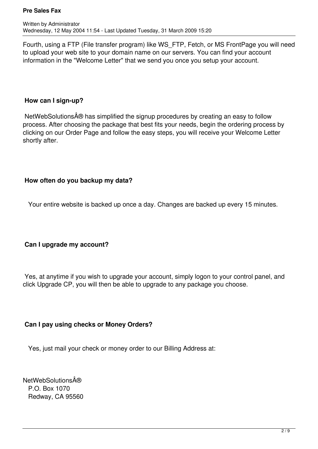Fourth, using a FTP (File transfer program) like WS\_FTP, Fetch, or MS FrontPage you will need to upload your web site to your domain name on our servers. You can find your account information in the "Welcome Letter" that we send you once you setup your account.

## **How can I sign-up?**

NetWebSolutions  $\hat{A} \circledR$  has simplified the signup procedures by creating an easy to follow process. After choosing the package that best fits your needs, begin the ordering process by clicking on our Order Page and follow the easy steps, you will receive your Welcome Letter shortly after.

# **How often do you backup my data?**

Your entire website is backed up once a day. Changes are backed up every 15 minutes.

# **Can I upgrade my account?**

 Yes, at anytime if you wish to upgrade your account, simply logon to your control panel, and click Upgrade CP, you will then be able to upgrade to any package you choose.

# **Can I pay using checks or Money Orders?**

Yes, just mail your check or money order to our Billing Address at:

**NetWebSolutions** $\hat{A}$ ® P.O. Box 1070 Redway, CA 95560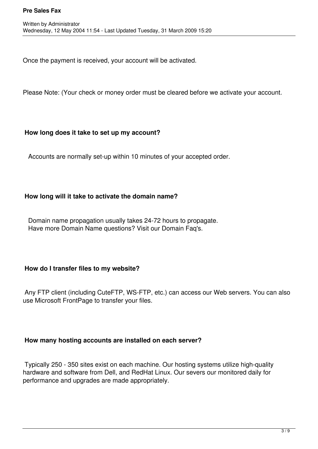Once the payment is received, your account will be activated.

Please Note: (Your check or money order must be cleared before we activate your account.

#### **How long does it take to set up my account?**

Accounts are normally set-up within 10 minutes of your accepted order.

## **How long will it take to activate the domain name?**

 Domain name propagation usually takes 24-72 hours to propagate. Have more Domain Name questions? Visit our Domain Faq's.

## **How do I transfer files to my website?**

 Any FTP client (including CuteFTP, WS-FTP, etc.) can access our Web servers. You can also use Microsoft FrontPage to transfer your files.

## **How many hosting accounts are installed on each server?**

 Typically 250 - 350 sites exist on each machine. Our hosting systems utilize high-quality hardware and software from Dell, and RedHat Linux. Our severs our monitored daily for performance and upgrades are made appropriately.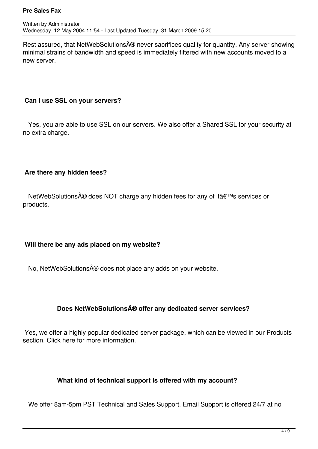Rest assured, that NetWebSolutions® never sacrifices quality for quantity. Any server showing minimal strains of bandwidth and speed is immediately filtered with new accounts moved to a new server.

## **Can I use SSL on your servers?**

 Yes, you are able to use SSL on our servers. We also offer a Shared SSL for your security at no extra charge.

# **Are there any hidden fees?**

NetWebSolutions® does NOT charge any hidden fees for any of it's services or products.

# **Will there be any ads placed on my website?**

No, NetWebSolutions® does not place any adds on your website.

# **Does NetWebSolutions® offer any dedicated server services?**

 Yes, we offer a highly popular dedicated server package, which can be viewed in our Products section. Click here for more information.

# **What kind of technical support is offered with my account?**

We offer 8am-5pm PST Technical and Sales Support. Email Support is offered 24/7 at no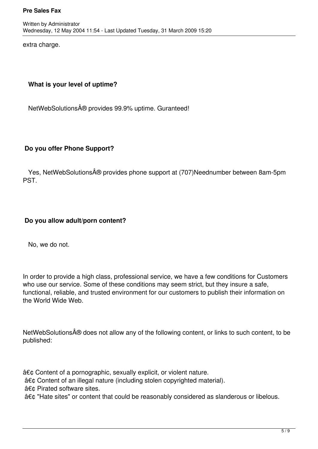extra charge.

## **What is your level of uptime?**

NetWebSolutions ® provides 99.9% uptime. Guranteed!

## **Do you offer Phone Support?**

Yes, NetWebSolutions® provides phone support at (707)Neednumber between 8am-5pm PST.

## **Do you allow adult/porn content?**

No, we do not.

In order to provide a high class, professional service, we have a few conditions for Customers who use our service. Some of these conditions may seem strict, but they insure a safe, functional, reliable, and trusted environment for our customers to publish their information on the World Wide Web.

NetWebSolutions® does not allow any of the following content, or links to such content, to be published:

• Content of a pornographic, sexually explicit, or violent nature.

• Content of an illegal nature (including stolen copyrighted material).

• Pirated software sites.

• "Hate sites" or content that could be reasonably considered as slanderous or libelous.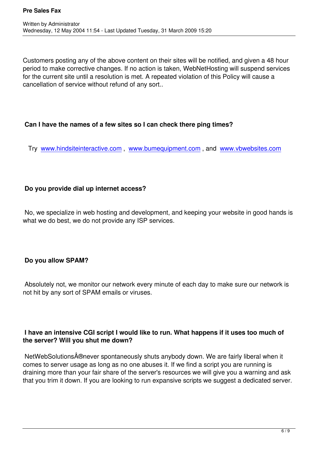Customers posting any of the above content on their sites will be notified, and given a 48 hour period to make corrective changes. If no action is taken, WebNetHosting will suspend services for the current site until a resolution is met. A repeated violation of this Policy will cause a cancellation of service without refund of any sort..

# **Can I have the names of a few sites so I can check there ping times?**

Try www.hindsiteinteractive.com , www.bumequipment.com , and www.vbwebsites.com

# **Do you provide dial up internet access?**

 No, we specialize in web hosting and development, and keeping your website in good hands is what we do best, we do not provide any ISP services.

# **Do you allow SPAM?**

 Absolutely not, we monitor our network every minute of each day to make sure our network is not hit by any sort of SPAM emails or viruses.

# **I have an intensive CGI script I would like to run. What happens if it uses too much of the server? Will you shut me down?**

NetWebSolutions®never spontaneously shuts anybody down. We are fairly liberal when it comes to server usage as long as no one abuses it. If we find a script you are running is draining more than your fair share of the server's resources we will give you a warning and ask that you trim it down. If you are looking to run expansive scripts we suggest a dedicated server.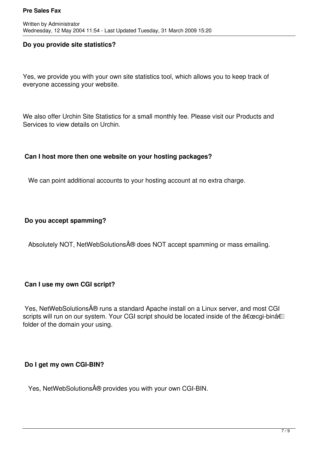## **Do you provide site statistics?**

Yes, we provide you with your own site statistics tool, which allows you to keep track of everyone accessing your website.

We also offer Urchin Site Statistics for a small monthly fee. Please visit our Products and Services to view details on Urchin.

## **Can I host more then one website on your hosting packages?**

We can point additional accounts to your hosting account at no extra charge.

## **Do you accept spamming?**

Absolutely NOT, NetWebSolutions® does NOT accept spamming or mass emailing.

## **Can I use my own CGI script?**

Yes, NetWebSolutions® runs a standard Apache install on a Linux server, and most CGI scripts will run on our system. Your CGI script should be located inside of the "cgi-binâ€l folder of the domain your using.

# **Do I get my own CGI-BIN?**

Yes, NetWebSolutions® provides you with your own CGI-BIN.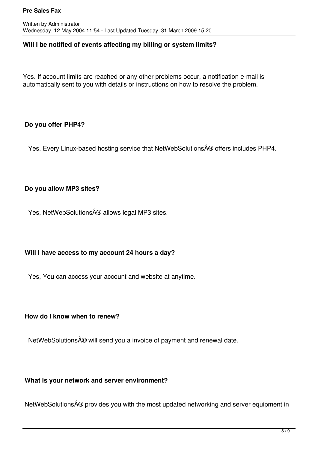## **Will I be notified of events affecting my billing or system limits?**

Yes. If account limits are reached or any other problems occur, a notification e-mail is automatically sent to you with details or instructions on how to resolve the problem.

## **Do you offer PHP4?**

Yes. Every Linux-based hosting service that NetWebSolutions® offers includes PHP4.

# **Do you allow MP3 sites?**

Yes, NetWebSolutions® allows legal MP3 sites.

# **Will I have access to my account 24 hours a day?**

Yes, You can access your account and website at anytime.

## **How do I know when to renew?**

NetWebSolutions ® will send you a invoice of payment and renewal date.

# **What is your network and server environment?**

NetWebSolutions® provides you with the most updated networking and server equipment in